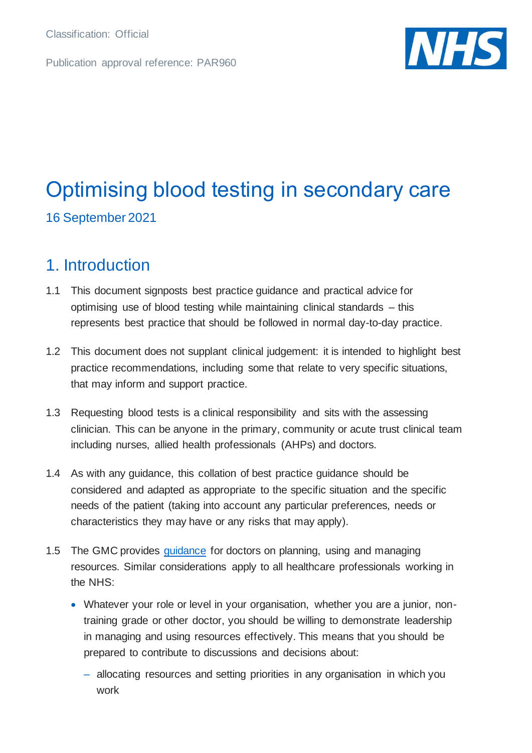Classification: Official

Publication approval reference: PAR960



# Optimising blood testing in secondary care 16 September 2021

# 1. Introduction

- 1.1 This document signposts best practice guidance and practical advice for optimising use of blood testing while maintaining clinical standards – this represents best practice that should be followed in normal day-to-day practice.
- 1.2 This document does not supplant clinical judgement: it is intended to highlight best practice recommendations, including some that relate to very specific situations, that may inform and support practice.
- 1.3 Requesting blood tests is a clinical responsibility and sits with the assessing clinician. This can be anyone in the primary, community or acute trust clinical team including nurses, allied health professionals (AHPs) and doctors.
- 1.4 As with any guidance, this collation of best practice guidance should be considered and adapted as appropriate to the specific situation and the specific needs of the patient (taking into account any particular preferences, needs or characteristics they may have or any risks that may apply).
- 1.5 The GMC provides [guidance](https://www.gmc-uk.org/ethical-guidance/ethical-guidance-for-doctors/leadership-and-management-for-all-doctors/planning-using-and-managing-resources) for doctors on planning, using and managing resources. Similar considerations apply to all healthcare professionals working in the NHS:
	- Whatever your role or level in your organisation, whether you are a junior, nontraining grade or other doctor, you should be willing to demonstrate leadership in managing and using resources effectively. This means that you should be prepared to contribute to discussions and decisions about:
		- ‒ allocating resources and setting priorities in any organisation in which you work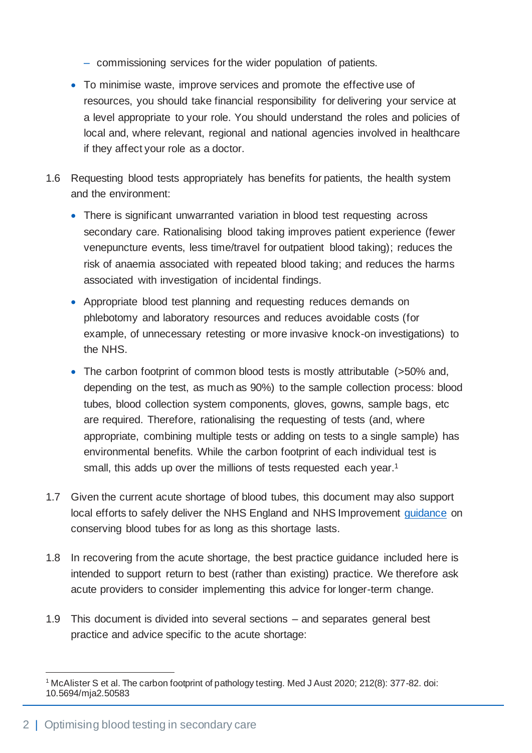- ‒ commissioning services for the wider population of patients.
- To minimise waste, improve services and promote the effective use of resources, you should take financial responsibility for delivering your service at a level appropriate to your role. You should understand the roles and policies of local and, where relevant, regional and national agencies involved in healthcare if they affect your role as a doctor.
- 1.6 Requesting blood tests appropriately has benefits for patients, the health system and the environment:
	- There is significant unwarranted variation in blood test requesting across secondary care. Rationalising blood taking improves patient experience (fewer venepuncture events, less time/travel for outpatient blood taking); reduces the risk of anaemia associated with repeated blood taking; and reduces the harms associated with investigation of incidental findings.
	- Appropriate blood test planning and requesting reduces demands on phlebotomy and laboratory resources and reduces avoidable costs (for example, of unnecessary retesting or more invasive knock-on investigations) to the NHS.
	- The carbon footprint of common blood tests is mostly attributable (>50% and, depending on the test, as much as 90%) to the sample collection process: blood tubes, blood collection system components, gloves, gowns, sample bags, etc are required. Therefore, rationalising the requesting of tests (and, where appropriate, combining multiple tests or adding on tests to a single sample) has environmental benefits. While the carbon footprint of each individual test is small, this adds up over the millions of tests requested each year.<sup>1</sup>
- 1.7 Given the current acute shortage of blood tubes, this document may also support local efforts to safely deliver the NHS England and NHS Improvement [guidance](https://www.england.nhs.uk/wp-content/uploads/2021/08/B0933-bd-blood-collection-supply-disruption-v2.pdf) on conserving blood tubes for as long as this shortage lasts.
- 1.8 In recovering from the acute shortage, the best practice guidance included here is intended to support return to best (rather than existing) practice. We therefore ask acute providers to consider implementing this advice for longer-term change.
- 1.9 This document is divided into several sections and separates general best practice and advice specific to the acute shortage:

<sup>&</sup>lt;sup>1</sup> McAlister S et al. The carbon footprint of pathology testing. Med J Aust 2020; 212(8): 377-82. doi: 10.5694/mja2.50583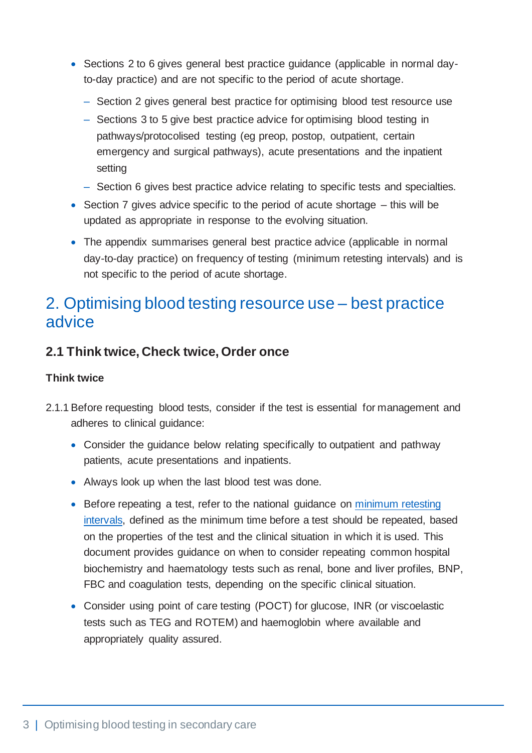- Sections 2 to 6 gives general best practice guidance (applicable in normal dayto-day practice) and are not specific to the period of acute shortage.
	- ‒ Section 2 gives general best practice for optimising blood test resource use
	- ‒ Sections 3 to 5 give best practice advice for optimising blood testing in pathways/protocolised testing (eg preop, postop, outpatient, certain emergency and surgical pathways), acute presentations and the inpatient setting
	- ‒ Section 6 gives best practice advice relating to specific tests and specialties.
- Section 7 gives advice specific to the period of acute shortage this will be updated as appropriate in response to the evolving situation.
- The appendix summarises general best practice advice (applicable in normal day-to-day practice) on frequency of testing (minimum retesting intervals) and is not specific to the period of acute shortage.

# 2. Optimising blood testing resource use – best practice advice

#### **2.1 Think twice, Check twice, Order once**

#### **Think twice**

- 2.1.1 Before requesting blood tests, consider if the test is essential for management and adheres to clinical guidance:
	- Consider the guidance below relating specifically to outpatient and pathway patients, acute presentations and inpatients.
	- Always look up when the last blood test was done.
	- Before repeating a test, refer to the national guidance on minimum retesting [intervals,](https://www.rcpath.org/uploads/assets/253e8950-3721-4aa2-8ddd4bd94f73040e/g147_national-minimum_retesting_intervals_in_pathology.pdf) defined as the minimum time before a test should be repeated, based on the properties of the test and the clinical situation in which it is used. This document provides guidance on when to consider repeating common hospital biochemistry and haematology tests such as renal, bone and liver profiles, BNP, FBC and coagulation tests, depending on the specific clinical situation.
	- Consider using point of care testing (POCT) for glucose, INR (or viscoelastic tests such as TEG and ROTEM) and haemoglobin where available and appropriately quality assured.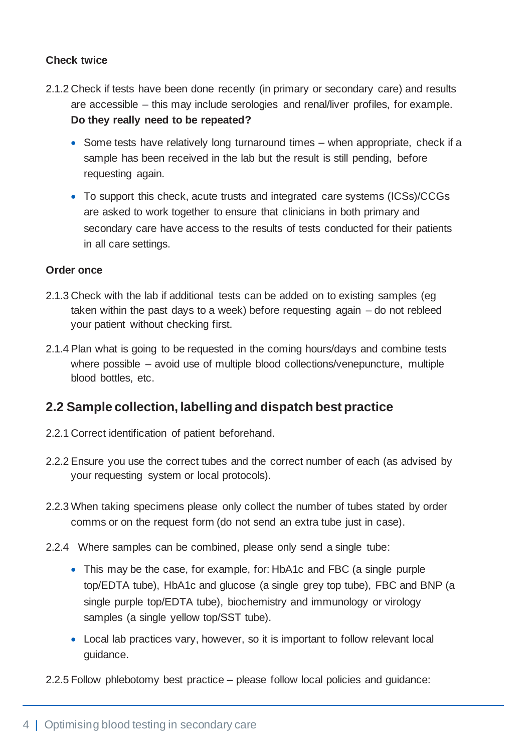#### **Check twice**

- 2.1.2 Check if tests have been done recently (in primary or secondary care) and results are accessible – this may include serologies and renal/liver profiles, for example.
	- **Do they really need to be repeated?**
	- Some tests have relatively long turnaround times when appropriate, check if a sample has been received in the lab but the result is still pending, before requesting again.
	- To support this check, acute trusts and integrated care systems (ICSs)/CCGs are asked to work together to ensure that clinicians in both primary and secondary care have access to the results of tests conducted for their patients in all care settings.

#### **Order once**

- 2.1.3 Check with the lab if additional tests can be added on to existing samples (eg taken within the past days to a week) before requesting again – do not rebleed your patient without checking first.
- 2.1.4 Plan what is going to be requested in the coming hours/days and combine tests where possible – avoid use of multiple blood collections/venepuncture, multiple blood bottles, etc.

#### **2.2 Sample collection, labelling and dispatch best practice**

- 2.2.1 Correct identification of patient beforehand.
- 2.2.2 Ensure you use the correct tubes and the correct number of each (as advised by your requesting system or local protocols).
- 2.2.3 When taking specimens please only collect the number of tubes stated by order comms or on the request form (do not send an extra tube just in case).
- 2.2.4 Where samples can be combined, please only send a single tube:
	- This may be the case, for example, for: HbA1c and FBC (a single purple top/EDTA tube), HbA1c and glucose (a single grey top tube), FBC and BNP (a single purple top/EDTA tube), biochemistry and immunology or virology samples (a single yellow top/SST tube).
	- Local lab practices vary, however, so it is important to follow relevant local guidance.
- 2.2.5 Follow phlebotomy best practice please follow local policies and guidance: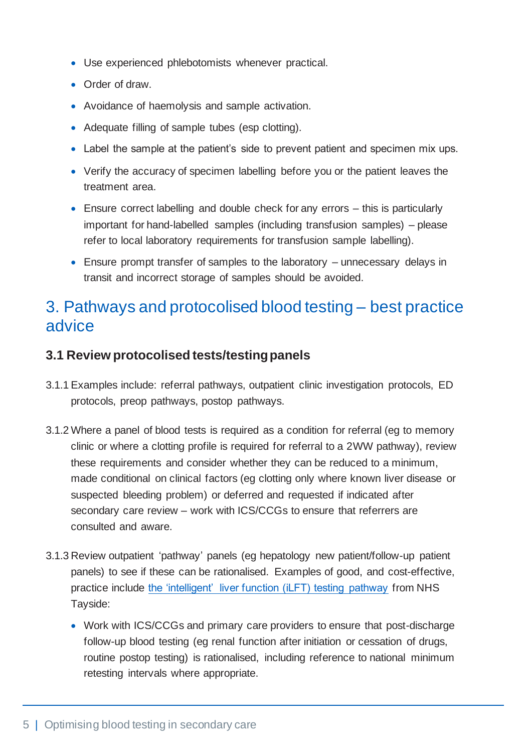- Use experienced phlebotomists whenever practical.
- Order of draw.
- Avoidance of haemolysis and sample activation.
- Adequate filling of sample tubes (esp clotting).
- Label the sample at the patient's side to prevent patient and specimen mix ups.
- Verify the accuracy of specimen labelling before you or the patient leaves the treatment area.
- Ensure correct labelling and double check for any errors this is particularly important for hand-labelled samples (including transfusion samples) – please refer to local laboratory requirements for transfusion sample labelling).
- Ensure prompt transfer of samples to the laboratory unnecessary delays in transit and incorrect storage of samples should be avoided.

# 3. Pathways and protocolised blood testing – best practice advice

## **3.1 Review protocolised tests/testing panels**

- 3.1.1 Examples include: referral pathways, outpatient clinic investigation protocols, ED protocols, preop pathways, postop pathways.
- 3.1.2 Where a panel of blood tests is required as a condition for referral (eg to memory clinic or where a clotting profile is required for referral to a 2WW pathway), review these requirements and consider whether they can be reduced to a minimum, made conditional on clinical factors (eg clotting only where known liver disease or suspected bleeding problem) or deferred and requested if indicated after secondary care review – work with ICS/CCGs to ensure that referrers are consulted and aware.
- 3.1.3 Review outpatient 'pathway' panels (eg hepatology new patient/follow-up patient panels) to see if these can be rationalised. Examples of good, and cost-effective, practice include [the 'intelligent' liver function \(iLFT\) testing pathway](https://doi.org/10.1016/j.jhep.2019.05.033) from NHS Tayside:
	- Work with ICS/CCGs and primary care providers to ensure that post-discharge follow-up blood testing (eg renal function after initiation or cessation of drugs, routine postop testing) is rationalised, including reference to national minimum retesting intervals where appropriate.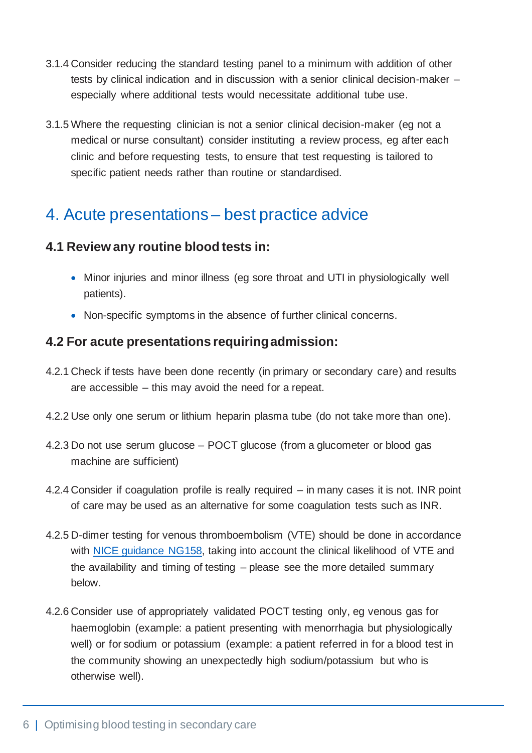- 3.1.4 Consider reducing the standard testing panel to a minimum with addition of other tests by clinical indication and in discussion with a senior clinical decision-maker – especially where additional tests would necessitate additional tube use.
- 3.1.5 Where the requesting clinician is not a senior clinical decision-maker (eg not a medical or nurse consultant) consider instituting a review process, eg after each clinic and before requesting tests, to ensure that test requesting is tailored to specific patient needs rather than routine or standardised.

# 4. Acute presentations – best practice advice

### **4.1 Review any routine blood tests in:**

- Minor injuries and minor illness (eg sore throat and UTI in physiologically well patients).
- Non-specific symptoms in the absence of further clinical concerns.

#### **4.2 For acute presentations requiring admission:**

- 4.2.1 Check if tests have been done recently (in primary or secondary care) and results are accessible – this may avoid the need for a repeat.
- 4.2.2 Use only one serum or lithium heparin plasma tube (do not take more than one).
- 4.2.3 Do not use serum glucose POCT glucose (from a glucometer or blood gas machine are sufficient)
- 4.2.4 Consider if coagulation profile is really required in many cases it is not. INR point of care may be used as an alternative for some coagulation tests such as INR.
- 4.2.5 D-dimer testing for venous thromboembolism (VTE) should be done in accordance with [NICE guidance NG158,](https://www.nice.org.uk/guidance/ng158) taking into account the clinical likelihood of VTE and the availability and timing of testing – please see the more detailed summary below.
- 4.2.6 Consider use of appropriately validated POCT testing only, eg venous gas for haemoglobin (example: a patient presenting with menorrhagia but physiologically well) or for sodium or potassium (example: a patient referred in for a blood test in the community showing an unexpectedly high sodium/potassium but who is otherwise well).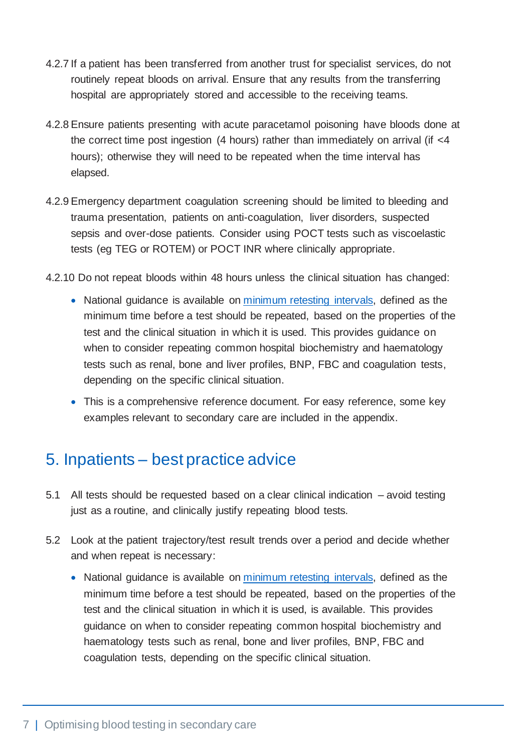- 4.2.7 If a patient has been transferred from another trust for specialist services, do not routinely repeat bloods on arrival. Ensure that any results from the transferring hospital are appropriately stored and accessible to the receiving teams.
- 4.2.8 Ensure patients presenting with acute paracetamol poisoning have bloods done at the correct time post ingestion (4 hours) rather than immediately on arrival (if <4 hours); otherwise they will need to be repeated when the time interval has elapsed.
- 4.2.9 Emergency department coagulation screening should be limited to bleeding and trauma presentation, patients on anti-coagulation, liver disorders, suspected sepsis and over-dose patients. Consider using POCT tests such as viscoelastic tests (eg TEG or ROTEM) or POCT INR where clinically appropriate.
- 4.2.10 Do not repeat bloods within 48 hours unless the clinical situation has changed:
	- National guidance is available on [minimum retesting intervals,](https://www.rcpath.org/uploads/assets/253e8950-3721-4aa2-8ddd4bd94f73040e/g147_national-minimum_retesting_intervals_in_pathology.pdf) defined as the minimum time before a test should be repeated, based on the properties of the test and the clinical situation in which it is used. This provides guidance on when to consider repeating common hospital biochemistry and haematology tests such as renal, bone and liver profiles, BNP, FBC and coagulation tests, depending on the specific clinical situation.
	- This is a comprehensive reference document. For easy reference, some key examples relevant to secondary care are included in the appendix.

# 5. Inpatients – best practice advice

- 5.1 All tests should be requested based on a clear clinical indication avoid testing just as a routine, and clinically justify repeating blood tests.
- 5.2 Look at the patient trajectory/test result trends over a period and decide whether and when repeat is necessary:
	- National guidance is available on [minimum retesting intervals,](https://www.rcpath.org/uploads/assets/253e8950-3721-4aa2-8ddd4bd94f73040e/g147_national-minimum_retesting_intervals_in_pathology.pdf) defined as the minimum time before a test should be repeated, based on the properties of the test and the clinical situation in which it is used, is available. This provides guidance on when to consider repeating common hospital biochemistry and haematology tests such as renal, bone and liver profiles, BNP, FBC and coagulation tests, depending on the specific clinical situation.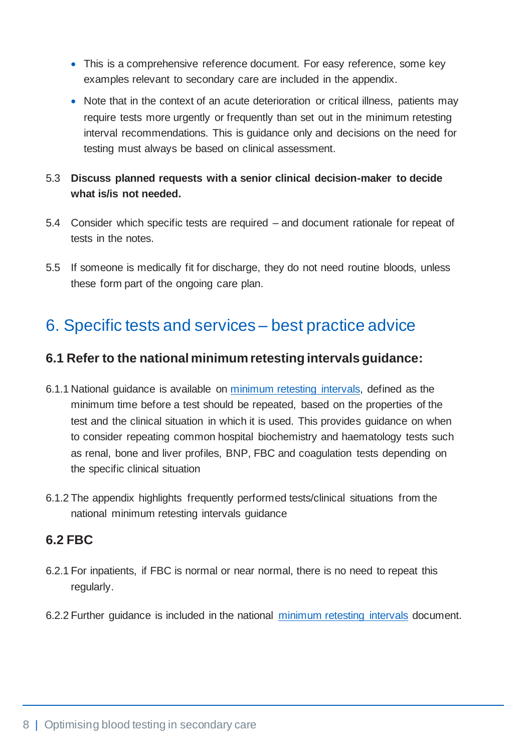- This is a comprehensive reference document. For easy reference, some key examples relevant to secondary care are included in the appendix.
- Note that in the context of an acute deterioration or critical illness, patients may require tests more urgently or frequently than set out in the minimum retesting interval recommendations. This is guidance only and decisions on the need for testing must always be based on clinical assessment.
- 5.3 **Discuss planned requests with a senior clinical decision-maker to decide what is/is not needed.**
- 5.4 Consider which specific tests are required and document rationale for repeat of tests in the notes.
- 5.5 If someone is medically fit for discharge, they do not need routine bloods, unless these form part of the ongoing care plan.

# 6. Specific tests and services – best practice advice

## **6.1 Refer to the national minimum retesting intervals guidance:**

- 6.1.1 National guidance is available on [minimum retesting intervals,](https://www.rcpath.org/uploads/assets/253e8950-3721-4aa2-8ddd4bd94f73040e/g147_national-minimum_retesting_intervals_in_pathology.pdf) defined as the minimum time before a test should be repeated, based on the properties of the test and the clinical situation in which it is used. This provides guidance on when to consider repeating common hospital biochemistry and haematology tests such as renal, bone and liver profiles, BNP, FBC and coagulation tests depending on the specific clinical situation
- 6.1.2 The appendix highlights frequently performed tests/clinical situations from the national minimum retesting intervals guidance

# **6.2 FBC**

- 6.2.1 For inpatients, if FBC is normal or near normal, there is no need to repeat this regularly.
- 6.2.2 Further guidance is included in the national [minimum retesting intervals](https://www.rcpath.org/uploads/assets/253e8950-3721-4aa2-8ddd4bd94f73040e/g147_national-minimum_retesting_intervals_in_pathology.pdf) document.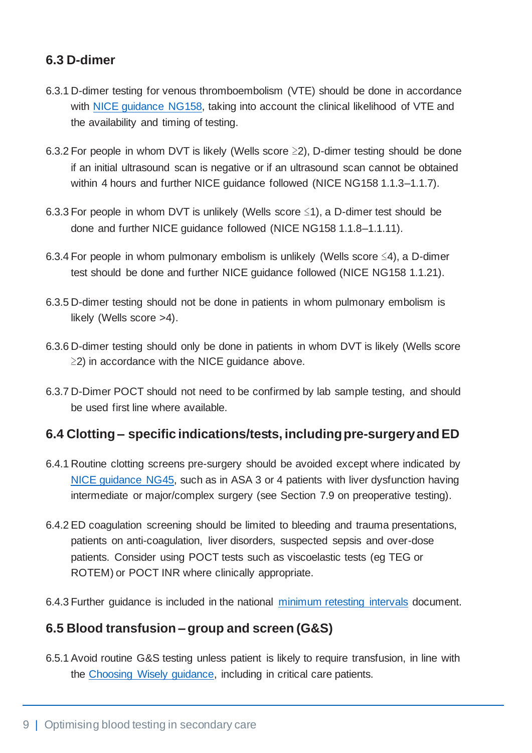## **6.3 D-dimer**

- 6.3.1 D-dimer testing for venous thromboembolism (VTE) should be done in accordance with [NICE guidance](https://www.nice.org.uk/guidance/ng158) NG158, taking into account the clinical likelihood of VTE and the availability and timing of testing.
- 6.3.2 For people in whom DVT is likely (Wells score ≥2), D-dimer testing should be done if an initial ultrasound scan is negative or if an ultrasound scan cannot be obtained within 4 hours and further NICE guidance followed (NICE NG158 1.1.3–1.1.7).
- 6.3.3 For people in whom DVT is unlikely (Wells score  $\leq$ 1), a D-dimer test should be done and further NICE guidance followed (NICE NG158 1.1.8–1.1.11).
- 6.3.4 For people in whom pulmonary embolism is unlikely (Wells score ≤4), a D-dimer test should be done and further NICE guidance followed (NICE NG158 1.1.21).
- 6.3.5 D-dimer testing should not be done in patients in whom pulmonary embolism is likely (Wells score >4).
- 6.3.6 D-dimer testing should only be done in patients in whom DVT is likely (Wells score  $\geq$ 2) in accordance with the NICE guidance above.
- 6.3.7 D-Dimer POCT should not need to be confirmed by lab sample testing, and should be used first line where available.

#### **6.4 Clotting – specific indications/tests, includingpre-surgery and ED**

- 6.4.1 Routine clotting screens pre-surgery should be avoided except where indicated by [NICE guidance NG45,](https://www.nice.org.uk/guidance/ng45) such as in ASA 3 or 4 patients with liver dysfunction having intermediate or major/complex surgery (see Section 7.9 on preoperative testing).
- 6.4.2 ED coagulation screening should be limited to bleeding and trauma presentations, patients on anti-coagulation, liver disorders, suspected sepsis and over-dose patients. Consider using POCT tests such as viscoelastic tests (eg TEG or ROTEM) or POCT INR where clinically appropriate.
- 6.4.3 Further guidance is included in the national [minimum retesting intervals](https://www.rcpath.org/uploads/assets/253e8950-3721-4aa2-8ddd4bd94f73040e/g147_national-minimum_retesting_intervals_in_pathology.pdf) document.

#### **6.5 Blood transfusion – group and screen (G&S)**

6.5.1 Avoid routine G&S testing unless patient is likely to require transfusion, in line with the [Choosing Wisely guidance,](https://www.rcpath.org/profession/patient-safety-and-quality-improvement/patient-safety-resources/choosing-wisely/recommendations-for-transfusion-medicine.html) including in critical care patients.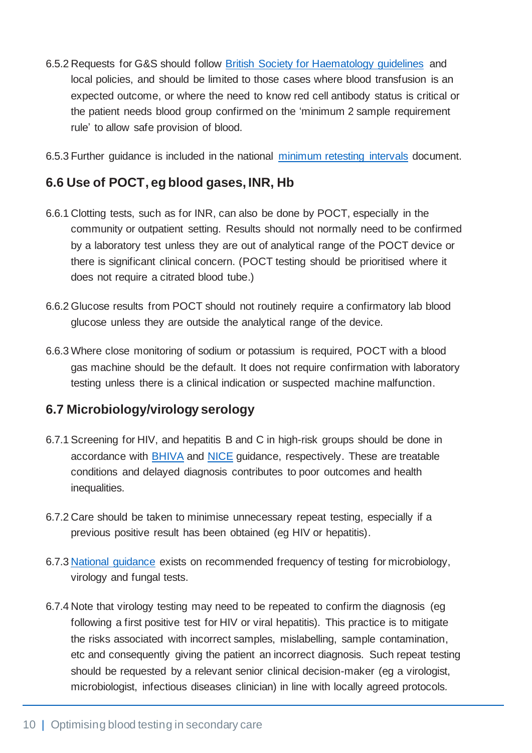- 6.5.2 Requests for G&S should follow [British Society for Haematology guidelines](https://onlinelibrary.wiley.com/doi/full/10.1111/j.1365-3148.2012.01199.x) and local policies, and should be limited to those cases where blood transfusion is an expected outcome, or where the need to know red cell antibody status is critical or the patient needs blood group confirmed on the 'minimum 2 sample requirement rule' to allow safe provision of blood.
- 6.5.3 Further guidance is included in the national [minimum retesting intervals](https://www.rcpath.org/uploads/assets/253e8950-3721-4aa2-8ddd4bd94f73040e/g147_national-minimum_retesting_intervals_in_pathology.pdf) document.

### **6.6 Use of POCT, eg blood gases, INR, Hb**

- 6.6.1 Clotting tests, such as for INR, can also be done by POCT, especially in the community or outpatient setting. Results should not normally need to be confirmed by a laboratory test unless they are out of analytical range of the POCT device or there is significant clinical concern. (POCT testing should be prioritised where it does not require a citrated blood tube.)
- 6.6.2 Glucose results from POCT should not routinely require a confirmatory lab blood glucose unless they are outside the analytical range of the device.
- 6.6.3 Where close monitoring of sodium or potassium is required, POCT with a blood gas machine should be the default. It does not require confirmation with laboratory testing unless there is a clinical indication or suspected machine malfunction.

#### **6.7 Microbiology/virology serology**

- 6.7.1 Screening for HIV, and hepatitis B and C in high-risk groups should be done in accordance with [BHIVA](https://www.bhiva.org/HIV-testing-guidelines) and [NICE](https://www.nice.org.uk/Guidance/PH43) guidance, respectively. These are treatable conditions and delayed diagnosis contributes to poor outcomes and health inequalities.
- 6.7.2 Care should be taken to minimise unnecessary repeat testing, especially if a previous positive result has been obtained (eg HIV or hepatitis).
- 6.7.3 [National guidance](https://www.rcpath.org/uploads/assets/253e8950-3721-4aa2-8ddd4bd94f73040e/g147_national-minimum_retesting_intervals_in_pathology.pdf) exists on recommended frequency of testing for microbiology, virology and fungal tests.
- 6.7.4 Note that virology testing may need to be repeated to confirm the diagnosis (eg following a first positive test for HIV or viral hepatitis). This practice is to mitigate the risks associated with incorrect samples, mislabelling, sample contamination, etc and consequently giving the patient an incorrect diagnosis. Such repeat testing should be requested by a relevant senior clinical decision-maker (eg a virologist, microbiologist, infectious diseases clinician) in line with locally agreed protocols.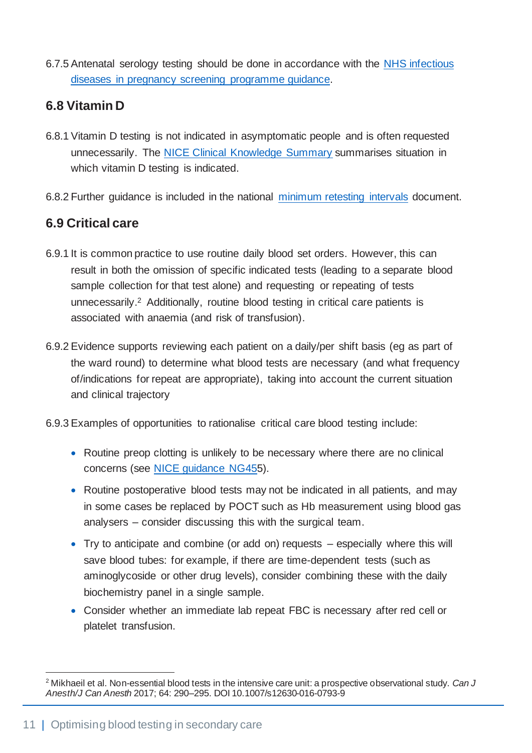6.7.5 Antenatal serology testing should be done in accordance with the [NHS infectious](https://www.gov.uk/topic/population-screening-programmes/infectious-diseases-in-pregnancy)  [diseases in pregnancy screening programme](https://www.gov.uk/topic/population-screening-programmes/infectious-diseases-in-pregnancy) guidance.

# **6.8 Vitamin D**

- 6.8.1 Vitamin D testing is not indicated in asymptomatic people and is often requested unnecessarily. The [NICE Clinical Knowledge Summary](https://cks.nice.org.uk/topics/vitamin-d-deficiency-in-adults/diagnosis/diagnosis/) summarises situation in which vitamin D testing is indicated.
- 6.8.2 Further guidance is included in the national [minimum retesting intervals](https://www.rcpath.org/uploads/assets/253e8950-3721-4aa2-8ddd4bd94f73040e/g147_national-minimum_retesting_intervals_in_pathology.pdf) document.

## **6.9 Critical care**

- 6.9.1 It is common practice to use routine daily blood set orders. However, this can result in both the omission of specific indicated tests (leading to a separate blood sample collection for that test alone) and requesting or repeating of tests unnecessarily. <sup>2</sup> Additionally, routine blood testing in critical care patients is associated with anaemia (and risk of transfusion).
- 6.9.2 Evidence supports reviewing each patient on a daily/per shift basis (eg as part of the ward round) to determine what blood tests are necessary (and what frequency of/indications for repeat are appropriate), taking into account the current situation and clinical trajectory
- 6.9.3 Examples of opportunities to rationalise critical care blood testing include:
	- Routine preop clotting is unlikely to be necessary where there are no clinical concerns (see [NICE guidance](https://www.nice.org.uk/guidance/ng45) NG455).
	- Routine postoperative blood tests may not be indicated in all patients, and may in some cases be replaced by POCT such as Hb measurement using blood gas analysers – consider discussing this with the surgical team.
	- Try to anticipate and combine (or add on) requests especially where this will save blood tubes: for example, if there are time-dependent tests (such as aminoglycoside or other drug levels), consider combining these with the daily biochemistry panel in a single sample.
	- Consider whether an immediate lab repeat FBC is necessary after red cell or platelet transfusion.

<sup>2</sup> Mikhaeil et al. Non-essential blood tests in the intensive care unit: a prospective observational study. *Can J Anesth/J Can Anesth* 2017; 64: 290–295. DOI 10.1007/s12630-016-0793-9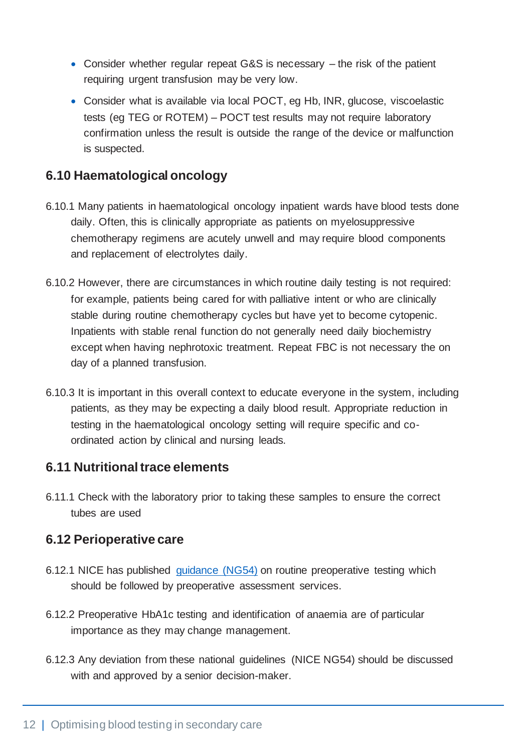- Consider whether regular repeat G&S is necessary the risk of the patient requiring urgent transfusion may be very low.
- Consider what is available via local POCT, eg Hb, INR, glucose, viscoelastic tests (eg TEG or ROTEM) – POCT test results may not require laboratory confirmation unless the result is outside the range of the device or malfunction is suspected.

### **6.10 Haematological oncology**

- 6.10.1 Many patients in haematological oncology inpatient wards have blood tests done daily. Often, this is clinically appropriate as patients on myelosuppressive chemotherapy regimens are acutely unwell and may require blood components and replacement of electrolytes daily.
- 6.10.2 However, there are circumstances in which routine daily testing is not required: for example, patients being cared for with palliative intent or who are clinically stable during routine chemotherapy cycles but have yet to become cytopenic. Inpatients with stable renal function do not generally need daily biochemistry except when having nephrotoxic treatment. Repeat FBC is not necessary the on day of a planned transfusion.
- 6.10.3 It is important in this overall context to educate everyone in the system, including patients, as they may be expecting a daily blood result. Appropriate reduction in testing in the haematological oncology setting will require specific and coordinated action by clinical and nursing leads.

## **6.11 Nutritional trace elements**

6.11.1 Check with the laboratory prior to taking these samples to ensure the correct tubes are used

#### **6.12 Perioperative care**

- 6.12.1 NICE has published [guidance \(NG54\)](https://www.nice.org.uk/guidance/ng45) on routine preoperative testing which should be followed by preoperative assessment services.
- 6.12.2 Preoperative HbA1c testing and identification of anaemia are of particular importance as they may change management.
- 6.12.3 Any deviation from these national guidelines (NICE NG54) should be discussed with and approved by a senior decision-maker.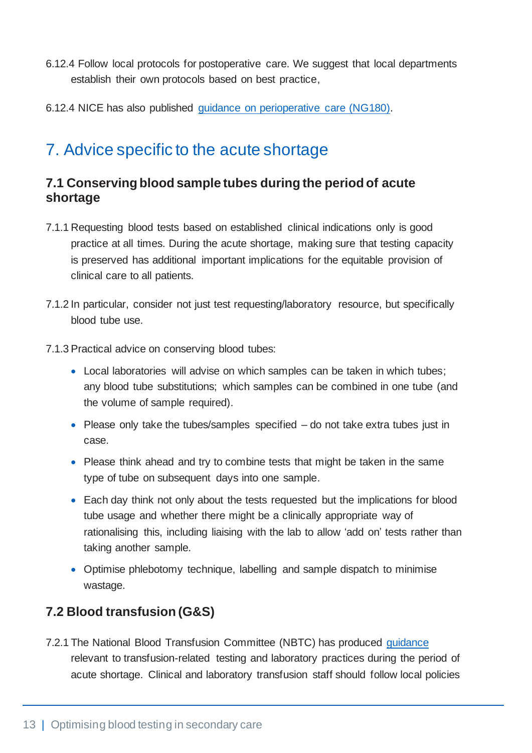- 6.12.4 Follow local protocols for postoperative care. We suggest that local departments establish their own protocols based on best practice,
- 6.12.4 NICE has also published [guidance on perioperative care \(NG180\).](https://www.nice.org.uk/guidance/ng180))

# 7. Advice specific to the acute shortage

### **7.1 Conserving blood sample tubes during the period of acute shortage**

- 7.1.1 Requesting blood tests based on established clinical indications only is good practice at all times. During the acute shortage, making sure that testing capacity is preserved has additional important implications for the equitable provision of clinical care to all patients.
- 7.1.2 In particular, consider not just test requesting/laboratory resource, but specifically blood tube use.
- 7.1.3 Practical advice on conserving blood tubes:
	- Local laboratories will advise on which samples can be taken in which tubes; any blood tube substitutions; which samples can be combined in one tube (and the volume of sample required).
	- Please only take the tubes/samples specified do not take extra tubes just in case.
	- Please think ahead and try to combine tests that might be taken in the same type of tube on subsequent days into one sample.
	- Each day think not only about the tests requested but the implications for blood tube usage and whether there might be a clinically appropriate way of rationalising this, including liaising with the lab to allow 'add on' tests rather than taking another sample.
	- Optimise phlebotomy technique, labelling and sample dispatch to minimise wastage.

# **7.2 Blood transfusion (G&S)**

7.2.1 The National Blood Transfusion Committee (NBTC) has produced [guidance](https://www.transfusionguidelines.org/uk-transfusion-committees/national-blood-transfusion-committee/responses-and-recommendations/) relevant to transfusion-related testing and laboratory practices during the period of acute shortage. Clinical and laboratory transfusion staff should follow local policies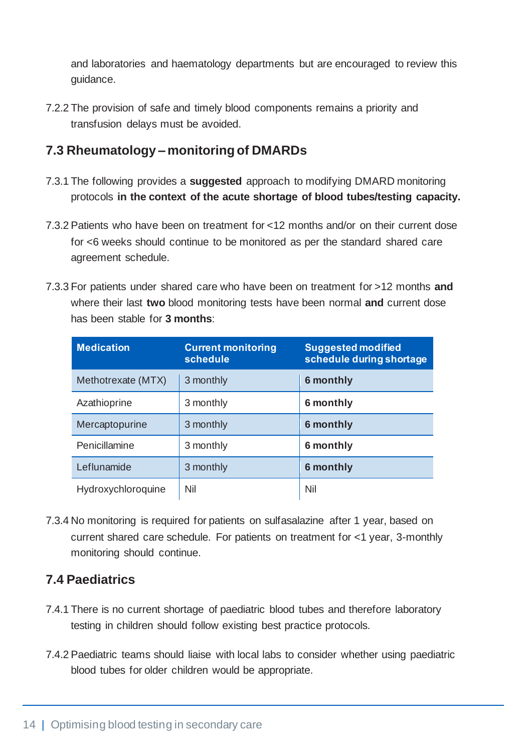and laboratories and haematology departments but are encouraged to review this guidance.

7.2.2 The provision of safe and timely blood components remains a priority and transfusion delays must be avoided.

### **7.3 Rheumatology – monitoring of DMARDs**

- 7.3.1 The following provides a **suggested** approach to modifying DMARD monitoring protocols **in the context of the acute shortage of blood tubes/testing capacity.**
- 7.3.2 Patients who have been on treatment for <12 months and/or on their current dose for <6 weeks should continue to be monitored as per the standard shared care agreement schedule.
- 7.3.3 For patients under shared care who have been on treatment for >12 months **and** where their last **two** blood monitoring tests have been normal **and** current dose has been stable for **3 months**:

| <b>Medication</b>  | <b>Current monitoring</b><br>schedule | <b>Suggested modified</b><br>schedule during shortage |
|--------------------|---------------------------------------|-------------------------------------------------------|
| Methotrexate (MTX) | 3 monthly                             | 6 monthly                                             |
| Azathioprine       | 3 monthly                             | 6 monthly                                             |
| Mercaptopurine     | 3 monthly                             | 6 monthly                                             |
| Penicillamine      | 3 monthly                             | 6 monthly                                             |
| Leflunamide        | 3 monthly                             | 6 monthly                                             |
| Hydroxychloroquine | Nil                                   | Nil                                                   |

7.3.4 No monitoring is required for patients on sulfasalazine after 1 year, based on current shared care schedule. For patients on treatment for <1 year, 3-monthly monitoring should continue.

## **7.4 Paediatrics**

- 7.4.1 There is no current shortage of paediatric blood tubes and therefore laboratory testing in children should follow existing best practice protocols.
- 7.4.2 Paediatric teams should liaise with local labs to consider whether using paediatric blood tubes for older children would be appropriate.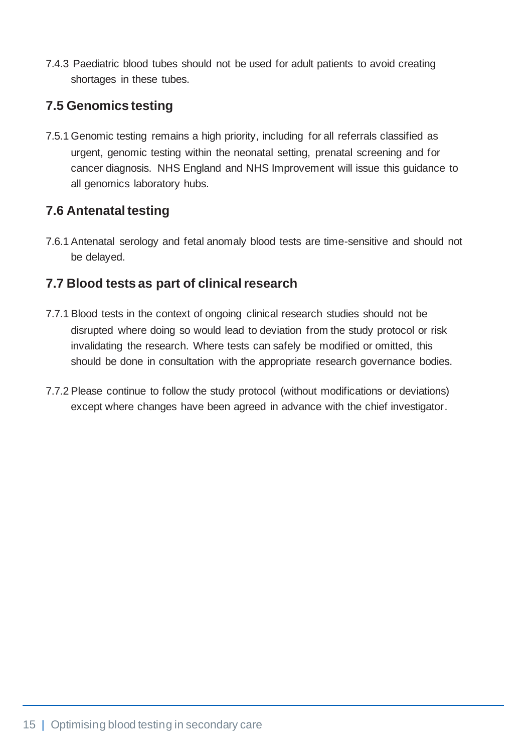7.4.3 Paediatric blood tubes should not be used for adult patients to avoid creating shortages in these tubes.

## **7.5 Genomics testing**

7.5.1 Genomic testing remains a high priority, including for all referrals classified as urgent, genomic testing within the neonatal setting, prenatal screening and for cancer diagnosis. NHS England and NHS Improvement will issue this guidance to all genomics laboratory hubs.

## **7.6 Antenatal testing**

7.6.1 Antenatal serology and fetal anomaly blood tests are time-sensitive and should not be delayed.

## **7.7 Blood tests as part of clinical research**

- 7.7.1 Blood tests in the context of ongoing clinical research studies should not be disrupted where doing so would lead to deviation from the study protocol or risk invalidating the research. Where tests can safely be modified or omitted, this should be done in consultation with the appropriate research governance bodies.
- 7.7.2 Please continue to follow the study protocol (without modifications or deviations) except where changes have been agreed in advance with the chief investigator.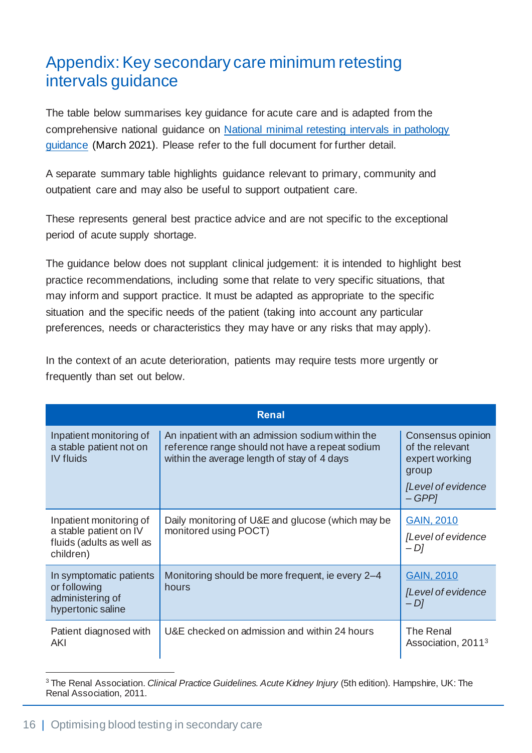# Appendix: Key secondary care minimum retesting intervals guidance

The table below summarises key guidance for acute care and is adapted from the comprehensive national guidance on [National minimal retesting intervals](https://www.rcpath.org/uploads/assets/253e8950-3721-4aa2-8ddd4bd94f73040e/g147_national-minimum_retesting_intervals_in_pathology.pdf) in pathology guidance (March 2021). Please refer to the full document for further detail.

A separate summary table highlights guidance relevant to primary, community and outpatient care and may also be useful to support outpatient care.

These represents general best practice advice and are not specific to the exceptional period of acute supply shortage.

The guidance below does not supplant clinical judgement: it is intended to highlight best practice recommendations, including some that relate to very specific situations, that may inform and support practice. It must be adapted as appropriate to the specific situation and the specific needs of the patient (taking into account any particular preferences, needs or characteristics they may have or any risks that may apply).

In the context of an acute deterioration, patients may require tests more urgently or frequently than set out below.

| <b>Renal</b>                                                                                |                                                                                                                                                    |                                                                                                  |
|---------------------------------------------------------------------------------------------|----------------------------------------------------------------------------------------------------------------------------------------------------|--------------------------------------------------------------------------------------------------|
| Inpatient monitoring of<br>a stable patient not on<br><b>IV fluids</b>                      | An inpatient with an admission sodium within the<br>reference range should not have a repeat sodium<br>within the average length of stay of 4 days | Consensus opinion<br>of the relevant<br>expert working<br>group<br>[Level of evidence<br>$-GPPI$ |
| Inpatient monitoring of<br>a stable patient on IV<br>fluids (adults as well as<br>children) | Daily monitoring of U&E and glucose (which may be<br>monitored using POCT)                                                                         | <b>GAIN, 2010</b><br>[Level of evidence<br>$-Dl$                                                 |
| In symptomatic patients<br>or following<br>administering of<br>hypertonic saline            | Monitoring should be more frequent, ie every 2-4<br>hours                                                                                          | <b>GAIN, 2010</b><br>[Level of evidence<br>$-Dl$                                                 |
| Patient diagnosed with<br>AKI                                                               | U&E checked on admission and within 24 hours                                                                                                       | The Renal<br>Association, 2011 <sup>3</sup>                                                      |

<sup>3</sup> The Renal Association. *Clinical Practice Guidelines. Acute Kidney Injury* (5th edition). Hampshire, UK: The Renal Association, 2011.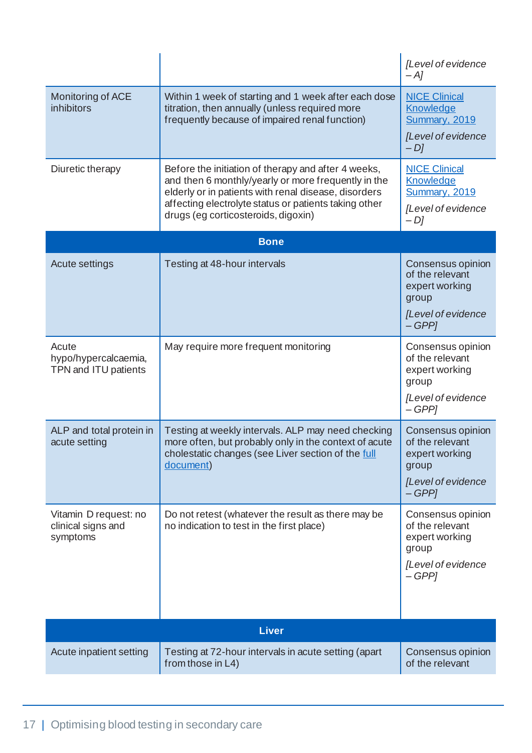|                                                         |                                                                                                                                                                                                                                                                    | [Level of evidence<br>$-A$ ]                                                                     |
|---------------------------------------------------------|--------------------------------------------------------------------------------------------------------------------------------------------------------------------------------------------------------------------------------------------------------------------|--------------------------------------------------------------------------------------------------|
| Monitoring of ACE<br>inhibitors                         | Within 1 week of starting and 1 week after each dose<br>titration, then annually (unless required more<br>frequently because of impaired renal function)                                                                                                           | <b>NICE Clinical</b><br><b>Knowledge</b><br>Summary, 2019<br>[Level of evidence<br>$-Dl$         |
| Diuretic therapy                                        | Before the initiation of therapy and after 4 weeks,<br>and then 6 monthly/yearly or more frequently in the<br>elderly or in patients with renal disease, disorders<br>affecting electrolyte status or patients taking other<br>drugs (eg corticosteroids, digoxin) | <b>NICE Clinical</b><br><b>Knowledge</b><br><b>Summary, 2019</b><br>[Level of evidence<br>$-D$ ] |
|                                                         | <b>Bone</b>                                                                                                                                                                                                                                                        |                                                                                                  |
| Acute settings                                          | Testing at 48-hour intervals                                                                                                                                                                                                                                       | Consensus opinion<br>of the relevant<br>expert working<br>group<br>[Level of evidence<br>$-GPP$  |
| Acute<br>hypo/hypercalcaemia,<br>TPN and ITU patients   | May require more frequent monitoring                                                                                                                                                                                                                               | Consensus opinion<br>of the relevant<br>expert working<br>group<br>[Level of evidence<br>$-GPP$  |
| ALP and total protein in<br>acute setting               | Testing at weekly intervals. ALP may need checking<br>more often, but probably only in the context of acute<br>cholestatic changes (see Liver section of the full<br>document)                                                                                     | Consensus opinion<br>of the relevant<br>expert working<br>group<br>[Level of evidence<br>$-GPP$  |
| Vitamin D request: no<br>clinical signs and<br>symptoms | Do not retest (whatever the result as there may be<br>no indication to test in the first place)                                                                                                                                                                    | Consensus opinion<br>of the relevant<br>expert working<br>group<br>[Level of evidence<br>$-GPP$  |
| <b>Liver</b>                                            |                                                                                                                                                                                                                                                                    |                                                                                                  |
| Acute inpatient setting                                 | Testing at 72-hour intervals in acute setting (apart<br>from those in L4)                                                                                                                                                                                          | Consensus opinion<br>of the relevant                                                             |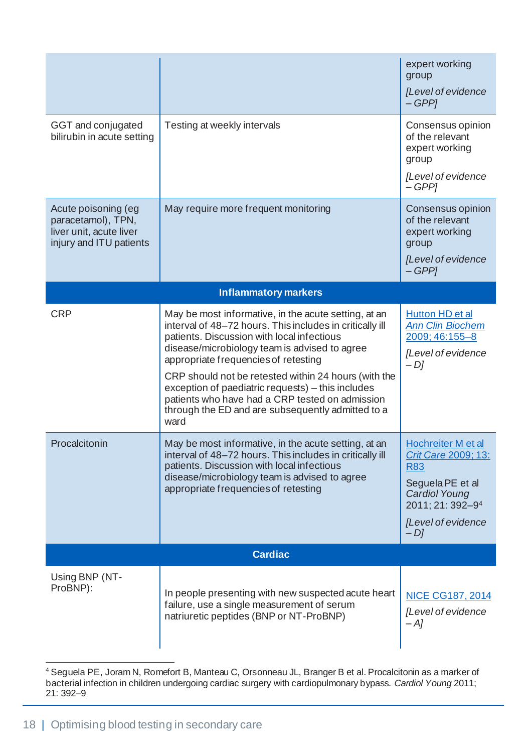|                                                                                                 |                                                                                                                                                                                                                                                                                                                                                                                                                                                                                      | expert working<br>group<br>[Level of evidence<br>$-GPPI$                                                                                                             |
|-------------------------------------------------------------------------------------------------|--------------------------------------------------------------------------------------------------------------------------------------------------------------------------------------------------------------------------------------------------------------------------------------------------------------------------------------------------------------------------------------------------------------------------------------------------------------------------------------|----------------------------------------------------------------------------------------------------------------------------------------------------------------------|
| GGT and conjugated<br>bilirubin in acute setting                                                | Testing at weekly intervals                                                                                                                                                                                                                                                                                                                                                                                                                                                          | Consensus opinion<br>of the relevant<br>expert working<br>group<br>[Level of evidence                                                                                |
| Acute poisoning (eg<br>paracetamol), TPN,<br>liver unit, acute liver<br>injury and ITU patients | May require more frequent monitoring                                                                                                                                                                                                                                                                                                                                                                                                                                                 | $-GPP$<br>Consensus opinion<br>of the relevant<br>expert working<br>group<br>[Level of evidence<br>$-GPP$                                                            |
|                                                                                                 | <b>Inflammatory markers</b>                                                                                                                                                                                                                                                                                                                                                                                                                                                          |                                                                                                                                                                      |
| <b>CRP</b>                                                                                      | May be most informative, in the acute setting, at an<br>interval of 48-72 hours. This includes in critically ill<br>patients. Discussion with local infectious<br>disease/microbiology team is advised to agree<br>appropriate frequencies of retesting<br>CRP should not be retested within 24 hours (with the<br>exception of paediatric requests) - this includes<br>patients who have had a CRP tested on admission<br>through the ED and are subsequently admitted to a<br>ward | <b>Hutton HD et al</b><br><b>Ann Clin Biochem</b><br>2009: 46:155-8<br>[Level of evidence<br>$-Dl$                                                                   |
| Procalcitonin                                                                                   | May be most informative, in the acute setting, at an<br>interval of 48–72 hours. This includes in critically ill<br>patients. Discussion with local infectious<br>disease/microbiology team is advised to agree<br>appropriate frequencies of retesting                                                                                                                                                                                                                              | <b>Hochreiter M et al</b><br><u>Crit Care 2009; 13:</u><br><b>R83</b><br>Seguela PE et al<br><b>Cardiol Young</b><br>2011; 21: 392-94<br>[Level of evidence<br>$-Dl$ |
| <b>Cardiac</b>                                                                                  |                                                                                                                                                                                                                                                                                                                                                                                                                                                                                      |                                                                                                                                                                      |
| Using BNP (NT-<br>ProBNP):                                                                      | In people presenting with new suspected acute heart<br>failure, use a single measurement of serum<br>natriuretic peptides (BNP or NT-ProBNP)                                                                                                                                                                                                                                                                                                                                         | <b>NICE CG187, 2014</b><br>[Level of evidence<br>$-A$ ]                                                                                                              |

<sup>4</sup> Seguela PE, Joram N, Romefort B, Manteau C, Orsonneau JL, Branger B et al. Procalcitonin as a marker of bacterial infection in children undergoing cardiac surgery with cardiopulmonary bypass. *Cardiol Young* 2011; 21: 392–9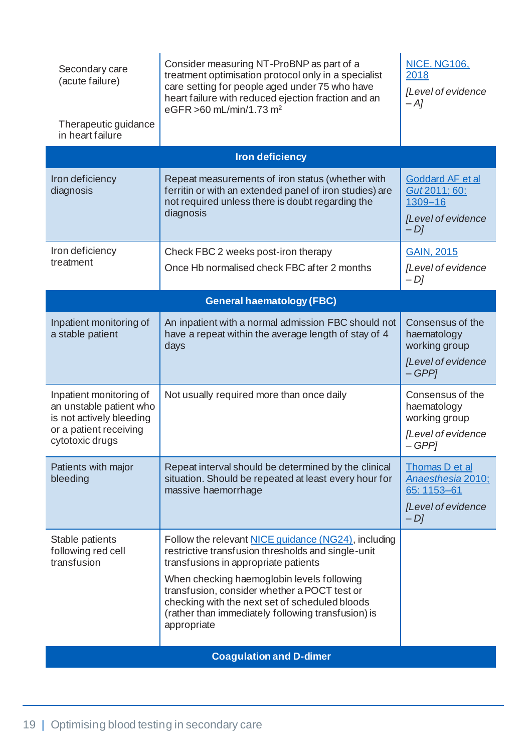| Secondary care<br>(acute failure)<br>Therapeutic guidance                                                                   | Consider measuring NT-ProBNP as part of a<br>treatment optimisation protocol only in a specialist<br>care setting for people aged under 75 who have<br>heart failure with reduced ejection fraction and an<br>eGFR >60 mL/min/1.73 m <sup>2</sup>                                                                                                                             | <b>NICE. NG106.</b><br>2018<br>[Level of evidence<br>$-A$ ]                        |
|-----------------------------------------------------------------------------------------------------------------------------|-------------------------------------------------------------------------------------------------------------------------------------------------------------------------------------------------------------------------------------------------------------------------------------------------------------------------------------------------------------------------------|------------------------------------------------------------------------------------|
| in heart failure                                                                                                            |                                                                                                                                                                                                                                                                                                                                                                               |                                                                                    |
|                                                                                                                             | <b>Iron deficiency</b>                                                                                                                                                                                                                                                                                                                                                        |                                                                                    |
| Iron deficiency<br>diagnosis                                                                                                | Repeat measurements of iron status (whether with<br>ferritin or with an extended panel of iron studies) are<br>not required unless there is doubt regarding the<br>diagnosis                                                                                                                                                                                                  | <b>Goddard AF et al</b><br>Gut 2011; 60:<br>1309-16<br>[Level of evidence<br>$-Dl$ |
| Iron deficiency                                                                                                             | Check FBC 2 weeks post-iron therapy                                                                                                                                                                                                                                                                                                                                           | <b>GAIN, 2015</b>                                                                  |
| treatment                                                                                                                   | Once Hb normalised check FBC after 2 months                                                                                                                                                                                                                                                                                                                                   | [Level of evidence<br>$-Dl$                                                        |
|                                                                                                                             | <b>General haematology (FBC)</b>                                                                                                                                                                                                                                                                                                                                              |                                                                                    |
| Inpatient monitoring of<br>a stable patient                                                                                 | An inpatient with a normal admission FBC should not<br>have a repeat within the average length of stay of 4<br>days                                                                                                                                                                                                                                                           | Consensus of the<br>haematology<br>working group<br>[Level of evidence<br>$-GPP$   |
| Inpatient monitoring of<br>an unstable patient who<br>is not actively bleeding<br>or a patient receiving<br>cytotoxic drugs | Not usually required more than once daily                                                                                                                                                                                                                                                                                                                                     | Consensus of the<br>haematology<br>working group<br>[Level of evidence<br>$-GPPI$  |
| Patients with major<br>bleeding                                                                                             | Repeat interval should be determined by the clinical<br>situation. Should be repeated at least every hour for<br>massive haemorrhage                                                                                                                                                                                                                                          | Thomas D et al<br>Anaesthesia 2010:<br>65:1153-61<br>[Level of evidence<br>$-Dl$   |
| Stable patients<br>following red cell<br>transfusion                                                                        | Follow the relevant <b>NICE</b> quidance (NG24), including<br>restrictive transfusion thresholds and single-unit<br>transfusions in appropriate patients<br>When checking haemoglobin levels following<br>transfusion, consider whether a POCT test or<br>checking with the next set of scheduled bloods<br>(rather than immediately following transfusion) is<br>appropriate |                                                                                    |
| <b>Coagulation and D-dimer</b>                                                                                              |                                                                                                                                                                                                                                                                                                                                                                               |                                                                                    |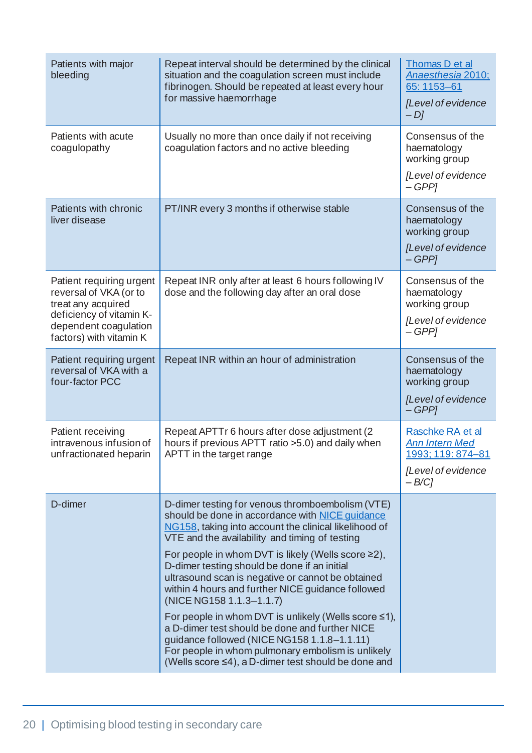| Patients with major<br>bleeding                                                                                                                          | Repeat interval should be determined by the clinical<br>situation and the coagulation screen must include<br>fibrinogen. Should be repeated at least every hour<br>for massive haemorrhage                                                                                                                                                                                                                                                                                                                                                                                                                                                                                                                                                   | Thomas D et al<br>Anaesthesia 2010;<br>65: 1153-61<br>[Level of evidence<br>$-Dl$                |
|----------------------------------------------------------------------------------------------------------------------------------------------------------|----------------------------------------------------------------------------------------------------------------------------------------------------------------------------------------------------------------------------------------------------------------------------------------------------------------------------------------------------------------------------------------------------------------------------------------------------------------------------------------------------------------------------------------------------------------------------------------------------------------------------------------------------------------------------------------------------------------------------------------------|--------------------------------------------------------------------------------------------------|
| Patients with acute<br>coagulopathy                                                                                                                      | Usually no more than once daily if not receiving<br>coagulation factors and no active bleeding                                                                                                                                                                                                                                                                                                                                                                                                                                                                                                                                                                                                                                               | Consensus of the<br>haematology<br>working group<br>[Level of evidence<br>$-GPPI$                |
| Patients with chronic<br>liver disease                                                                                                                   | PT/INR every 3 months if otherwise stable                                                                                                                                                                                                                                                                                                                                                                                                                                                                                                                                                                                                                                                                                                    | Consensus of the<br>haematology<br>working group<br>[Level of evidence<br>$-GPP$                 |
| Patient requiring urgent<br>reversal of VKA (or to<br>treat any acquired<br>deficiency of vitamin K-<br>dependent coagulation<br>factors) with vitamin K | Repeat INR only after at least 6 hours following IV<br>dose and the following day after an oral dose                                                                                                                                                                                                                                                                                                                                                                                                                                                                                                                                                                                                                                         | Consensus of the<br>haematology<br>working group<br>[Level of evidence<br>$-GPPI$                |
| Patient requiring urgent<br>reversal of VKA with a<br>four-factor PCC                                                                                    | Repeat INR within an hour of administration                                                                                                                                                                                                                                                                                                                                                                                                                                                                                                                                                                                                                                                                                                  | Consensus of the<br>haematology<br>working group<br>[Level of evidence<br>$-GPP$                 |
| Patient receiving<br>intravenous infusion of<br>unfractionated heparin                                                                                   | Repeat APTTr 6 hours after dose adjustment (2)<br>hours if previous APTT ratio > 5.0) and daily when<br>APTT in the target range                                                                                                                                                                                                                                                                                                                                                                                                                                                                                                                                                                                                             | Raschke RA et al<br><b>Ann Intern Med</b><br>1993; 119: 874-81<br>[Level of evidence<br>$-B/C$ ] |
| D-dimer                                                                                                                                                  | D-dimer testing for venous thromboembolism (VTE)<br>should be done in accordance with NICE quidance<br>NG158, taking into account the clinical likelihood of<br>VTE and the availability and timing of testing<br>For people in whom DVT is likely (Wells score $\geq$ 2),<br>D-dimer testing should be done if an initial<br>ultrasound scan is negative or cannot be obtained<br>within 4 hours and further NICE guidance followed<br>(NICE NG158 1.1.3-1.1.7)<br>For people in whom DVT is unlikely (Wells score $\leq 1$ ),<br>a D-dimer test should be done and further NICE<br>guidance followed (NICE NG158 1.1.8-1.1.11)<br>For people in whom pulmonary embolism is unlikely<br>(Wells score ≤4), a D-dimer test should be done and |                                                                                                  |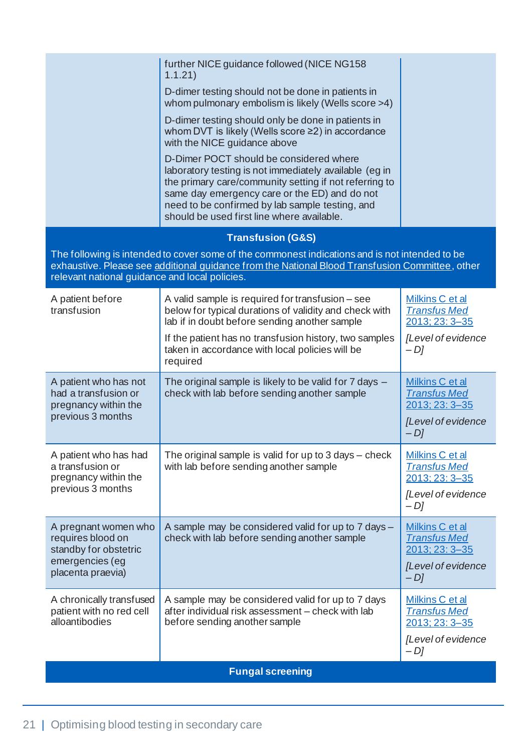|                                                                                                            | further NICE guidance followed (NICE NG158<br>1.1.21)<br>D-dimer testing should not be done in patients in<br>whom pulmonary embolism is likely (Wells score >4)<br>D-dimer testing should only be done in patients in<br>whom DVT is likely (Wells score ≥2) in accordance<br>with the NICE guidance above<br>D-Dimer POCT should be considered where<br>laboratory testing is not immediately available (eg in<br>the primary care/community setting if not referring to<br>same day emergency care or the ED) and do not<br>need to be confirmed by lab sample testing, and<br>should be used first line where available. |                                                                                                |
|------------------------------------------------------------------------------------------------------------|------------------------------------------------------------------------------------------------------------------------------------------------------------------------------------------------------------------------------------------------------------------------------------------------------------------------------------------------------------------------------------------------------------------------------------------------------------------------------------------------------------------------------------------------------------------------------------------------------------------------------|------------------------------------------------------------------------------------------------|
|                                                                                                            | <b>Transfusion (G&amp;S)</b>                                                                                                                                                                                                                                                                                                                                                                                                                                                                                                                                                                                                 |                                                                                                |
| relevant national guidance and local policies.                                                             | The following is intended to cover some of the commonest indications and is not intended to be<br>exhaustive. Please see additional quidance from the National Blood Transfusion Committee, other                                                                                                                                                                                                                                                                                                                                                                                                                            |                                                                                                |
| A patient before<br>transfusion                                                                            | A valid sample is required for transfusion – see<br>below for typical durations of validity and check with<br>lab if in doubt before sending another sample<br>If the patient has no transfusion history, two samples<br>taken in accordance with local policies will be<br>required                                                                                                                                                                                                                                                                                                                                         | Milkins C et al<br><b>Transfus Med</b><br>2013: 23: 3-35<br>[Level of evidence<br>$-Dl$        |
| A patient who has not<br>had a transfusion or<br>pregnancy within the<br>previous 3 months                 | The original sample is likely to be valid for 7 days -<br>check with lab before sending another sample                                                                                                                                                                                                                                                                                                                                                                                                                                                                                                                       | Milkins C et al<br><b>Transfus Med</b><br>2013; 23: 3-35<br>[Level of evidence<br>$-D$ ]       |
| A patient who has had<br>a transfusion or<br>pregnancy within the<br>previous 3 months                     | The original sample is valid for up to 3 days - check<br>with lab before sending another sample                                                                                                                                                                                                                                                                                                                                                                                                                                                                                                                              | Milkins C et al<br><b>Transfus Med</b><br>2013; 23: 3-35<br>[Level of evidence<br>$-Dl$        |
| A pregnant women who<br>requires blood on<br>standby for obstetric<br>emergencies (eg<br>placenta praevia) | A sample may be considered valid for up to 7 days -<br>check with lab before sending another sample                                                                                                                                                                                                                                                                                                                                                                                                                                                                                                                          | Milkins C et al<br><b>Transfus Med</b><br>2013; 23: 3-35<br>[Level of evidence<br>$-Dl$        |
| A chronically transfused<br>patient with no red cell<br>alloantibodies                                     | A sample may be considered valid for up to 7 days<br>after individual risk assessment - check with lab<br>before sending another sample                                                                                                                                                                                                                                                                                                                                                                                                                                                                                      | <b>Milkins C et al</b><br><b>Transfus Med</b><br>2013; 23: 3-35<br>[Level of evidence<br>$-Dl$ |
| <b>Fungal screening</b>                                                                                    |                                                                                                                                                                                                                                                                                                                                                                                                                                                                                                                                                                                                                              |                                                                                                |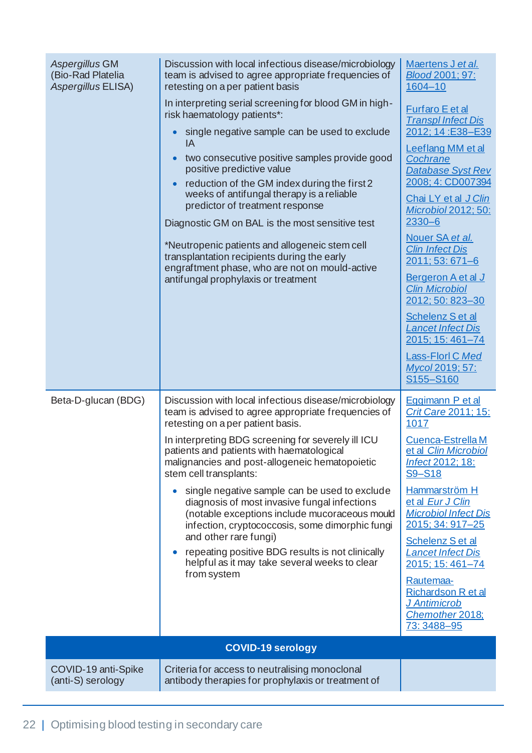| Aspergillus GM<br>(Bio-Rad Platelia<br>Aspergillus ELISA) | Discussion with local infectious disease/microbiology<br>team is advised to agree appropriate frequencies of<br>retesting on a per patient basis                                                  | Maertens J et al.<br>Blood 2001; 97:<br>$1604 - 10$                                  |
|-----------------------------------------------------------|---------------------------------------------------------------------------------------------------------------------------------------------------------------------------------------------------|--------------------------------------------------------------------------------------|
|                                                           | In interpreting serial screening for blood GM in high-<br>risk haematology patients*:<br>single negative sample can be used to exclude<br>$\bullet$                                               | Furfaro E et al<br><b>Transpl Infect Dis</b><br>2012; 14:E38-E39                     |
|                                                           | IA<br>two consecutive positive samples provide good<br>$\bullet$<br>positive predictive value<br>reduction of the GM index during the first 2<br>$\bullet$                                        | Leeflang MM et al<br>Cochrane<br>Database Syst Rev<br>2008; 4: CD007394              |
|                                                           | weeks of antifungal therapy is a reliable<br>predictor of treatment response                                                                                                                      | Chai LY et al J Clin<br><b>Microbiol 2012; 50:</b>                                   |
|                                                           | Diagnostic GM on BAL is the most sensitive test                                                                                                                                                   | $2330 - 6$<br>Nouer SA et al.                                                        |
|                                                           | *Neutropenic patients and allogeneic stem cell<br>transplantation recipients during the early<br>engraftment phase, who are not on mould-active                                                   | <b>Clin Infect Dis</b><br>$2011; 53: 671 - 6$                                        |
|                                                           | antifungal prophylaxis or treatment                                                                                                                                                               | Bergeron A et al J<br><b>Clin Microbiol</b><br>2012; 50: 823-30                      |
|                                                           |                                                                                                                                                                                                   | Schelenz S et al<br><b>Lancet Infect Dis</b><br>2015; 15: 461-74                     |
|                                                           |                                                                                                                                                                                                   | <b>Lass-Florl C Med</b><br>Mycol 2019; 57:<br>S155-S160                              |
| Beta-D-glucan (BDG)                                       | Discussion with local infectious disease/microbiology<br>team is advised to agree appropriate frequencies of<br>retesting on a per patient basis.                                                 | <b>Eggimann P et al</b><br><b>Crit Care 2011; 15:</b><br>1017                        |
|                                                           | In interpreting BDG screening for severely ill ICU<br>patients and patients with haematological<br>malignancies and post-allogeneic hematopoietic<br>stem cell transplants:                       | Cuenca-Estrella M<br>et al Clin Microbiol<br><b>Infect 2012; 18:</b><br>S9-S18       |
|                                                           | single negative sample can be used to exclude<br>diagnosis of most invasive fungal infections<br>(notable exceptions include mucoraceous mould<br>infection, cryptococcosis, some dimorphic fungi | Hammarström H<br>et al Eur J Clin<br><b>Microbiol Infect Dis</b><br>2015; 34: 917-25 |
|                                                           | and other rare fungi)<br>repeating positive BDG results is not clinically<br>helpful as it may take several weeks to clear                                                                        | <b>Schelenz S et al</b><br><b>Lancet Infect Dis</b><br>2015; 15: 461-74              |
|                                                           | from system                                                                                                                                                                                       | Rautemaa-<br>Richardson R et al<br>J Antimicrob<br>Chemother 2018;<br>73: 3488-95    |
| <b>COVID-19 serology</b>                                  |                                                                                                                                                                                                   |                                                                                      |
| COVID-19 anti-Spike<br>(anti-S) serology                  | Criteria for access to neutralising monoclonal<br>antibody therapies for prophylaxis or treatment of                                                                                              |                                                                                      |